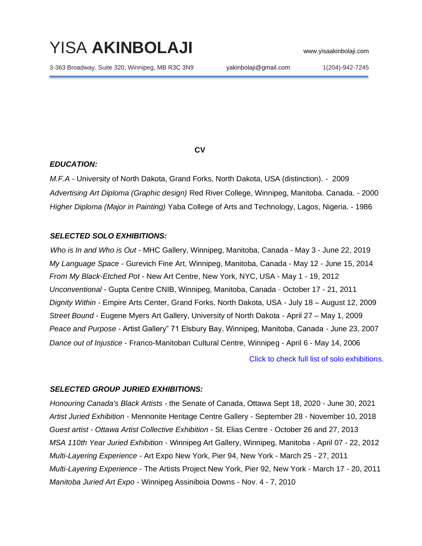# YISA **AKINBOLAJI** www.yisaakinbolaji.com

3-363 Broadway, Suite 320, Winnipeg, MB R3C 3N9 yakinbolaji@gmail.com 1(204)-942-7245

*CV* 

#### *EDUCATION:*

*M.F.A* - University of North Dakota, Grand Forks, North Dakota, USA (distinction). - 2009 *Advertising Art Diploma (Graphic design)* Red River College, Winnipeg, Manitoba. Canada. - 2000 *Higher Diploma (Major in Painting)* Yaba College of Arts and Technology, Lagos, Nigeria. - 1986

## *SELECTED SOLO EXHIBITIONS:*

*Who is In and Who is Out -* MHC Gallery, Winnipeg, Manitoba, Canada - May 3 - June 22, 2019 *My Language Space -* Gurevich Fine Art, Winnipeg, Manitoba, Canada - May 12 - June 15, 2014 *From My Black-Etched Pot -* New Art Centre, New York, NYC, USA - May 1 - 19, 2012 *Unconventional -* Gupta Centre CNIB, Winnipeg, Manitoba, Canada - October 17 - 21, 2011 *Dignity Within* - Empire Arts Center, Grand Forks, North Dakota, USA - July 18 – August 12, 2009 *Street Bound* - Eugene Myers Art Gallery, University of North Dakota - April 27 – May 1, 2009 *Peace and Purpose* - Artist Gallery" 71 Elsbury Bay, Winnipeg, Manitoba, Canada - June 23, 2007 *Dance out of Injustice* - Franco-Manitoban Cultural Centre, Winnipeg - April 6 - May 14, 2006

[Click to check full list of solo exhibitions.](https://yisagallery.com/cv.html)

#### *SELECTED GROUP JURIED EXHIBITIONS:*

*Honouring Canada's Black Artists -* the Senate of Canada, Ottawa Sept 18, 2020 - June 30, 2021 *Artist Juried Exhibition* - Mennonite Heritage Centre Gallery - September 28 - November 10, 2018 *Guest artist - Ottawa Artist Collective Exhibition* - St. Elias Centre - October 26 and 27, 2013 *MSA 110th Year Juried Exhibition* - Winnipeg Art Gallery, Winnipeg, Manitoba - April 07 - 22, 2012 *Multi-Layering Experience -* Art Expo New York, Pier 94, New York - March 25 - 27, 2011 *Multi-Layering Experience* - The Artists Project New York, Pier 92, New York - March 17 - 20, 2011 *Manitoba Juried Art Expo* - Winnipeg Assiniboia Downs - Nov. 4 - 7, 2010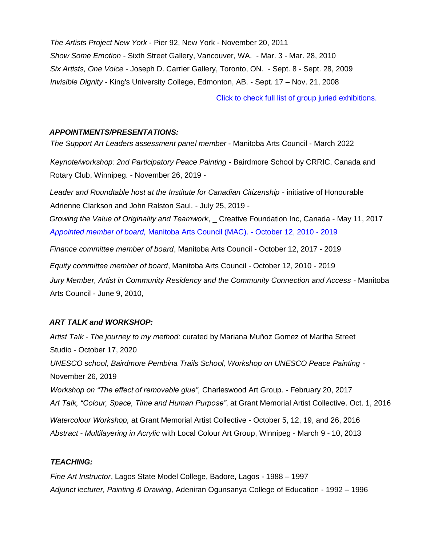*The Artists Project New York* - Pier 92, New York - November 20, 2011 *Show Some Emotion* - Sixth Street Gallery, Vancouver, WA. - Mar. 3 - Mar. 28, 2010 *Six Artists, One Voice* - Joseph D. Carrier Gallery, Toronto, ON. - Sept. 8 - Sept. 28, 2009 *Invisible Dignity* - King's University College, Edmonton, AB. - Sept. 17 – Nov. 21, 2008

[Click to check full list of group juried exhibitions.](https://yisagallery.com/cv.html)

## *APPOINTMENTS/PRESENTATIONS:*

*The Support Art Leaders assessment panel member* - Manitoba Arts Council - March 2022

*Keynote/workshop: 2nd Participatory Peace Painting* - Bairdmore School by CRRIC, Canada and Rotary Club, Winnipeg. - November 26, 2019 -

*Leader and Roundtable host at the Institute for Canadian Citizenship* - initiative of Honourable Adrienne Clarkson and John Ralston Saul. - July 25, 2019 -

*Growing the Value of Originality and Teamwork*, \_ Creative Foundation Inc, Canada - May 11, 2017 *Appointed member of board,* [Manitoba Arts Council \(MAC\).](http://www.yisaakinbolaji.com/ewExternalFiles/Minister.JPG) - October 12, 2010 - 2019

*Finance committee member of board*, Manitoba Arts Council - October 12, 2017 - 2019

*Equity committee member of board*, Manitoba Arts Council - October 12, 2010 - 2019 *Jury Member, Artist in Community Residency and the Community Connection and Access* - Manitoba Arts Council - June 9, 2010,

# *ART TALK and WORKSHOP:*

*Artist Talk - The journey to my method:* curated by Mariana Muñoz Gomez of Martha Street Studio - October 17, 2020 *UNESCO school, Bairdmore Pembina Trails School, Workshop on UNESCO Peace Painting* - November 26, 2019 *Workshop on "The effect of removable glue",* Charleswood Art Group. - February 20, 2017 *Art Talk, "Colour, Space, Time and Human Purpose"*, at Grant Memorial Artist Collective. Oct. 1, 2016 *Watercolour Workshop,* at Grant Memorial Artist Collective - October 5, 12, 19, and 26, 2016 *Abstract - Multilayering in Acrylic* with Local Colour Art Group, Winnipeg - March 9 - 10, 2013

# *TEACHING:*

*Fine Art Instructor*, Lagos State Model College, Badore, Lagos - 1988 – 1997 *Adjunct lecturer, Painting & Drawing,* Adeniran Ogunsanya College of Education - 1992 – 1996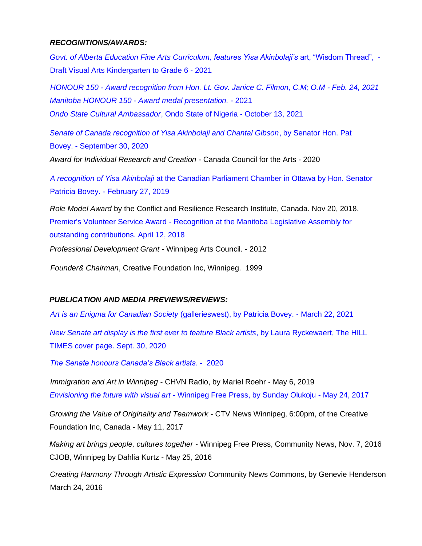### *RECOGNITIONS/AWARDS:*

*[Govt. of Alberta Education Fine Arts Curriculum,](http://www.yisaakinbolaji.com/ewExternalFiles/AlEdu.png) features Yisa Akinbolaji's* art, "Wisdom Thread", - [Draft Visual Arts Kindergarten](http://www.yisaakinbolaji.com/ewExternalFiles/AlEdu.png) to Grade 6 - 2021

*HONOUR 150 - [Award recognition from Hon. Lt. Gov. Janice C. Filmon, C.M; O.M](http://www.yisaakinbolaji.com/ewExternalFiles/MB150.png) - Feb. 24, 2021 Manitoba HONOUR 150 - [Award medal presentation. -](http://www.yisaakinbolaji.com/ewExternalFiles/HONOUR150.mp4)* 2021

*[Ondo State Cultural Ambassador](http://www.yisaakinbolaji.com/ewExternalFiles/AwdOct13.png)*, Ondo State of Nigeria - October 13, 2021

*[Senate of Canada recognition of Yisa Akinbolaji and Chantal Gibson](http://www.yisaakinbolaji.com/ewExternalFiles/2020Sep30Senat.pdf)*, by Senator Hon. Pat [Bovey.](http://www.yisaakinbolaji.com/ewExternalFiles/2020Sep30Senat.pdf) - September 30, 2020

*Award for Individual Research and Creation* - Canada Council for the Arts - 2020

*A recognition of Yisa Akinbolaji* [at the Canadian Parliament Chamber in Ottawa by Hon. Senator](http://www.yisaakinbolaji.com/ewExternalFiles/SenatenoYisaA.mp4)  [Patricia Bovey.](http://www.yisaakinbolaji.com/ewExternalFiles/SenatenoYisaA.mp4) - [February 27, 2019](http://www.yisaakinbolaji.com/ewExternalFiles/SenatenoYisaA.mp4)

*Role Model Award* by the Conflict and Resilience Research Institute, Canada. Nov 20, 2018. Premier's Volunteer Service Award - [Recognition at the Manitoba Legislative Assembly for](http://www.yisaakinbolaji.com/ewExternalFiles/MBLeg.JPG)  [outstanding contributions.](http://www.yisaakinbolaji.com/ewExternalFiles/MBLeg.JPG) April 12, 2018

*Professional Development Grant* - Winnipeg Arts Council. - 2012

*Founder& Chairman*, Creative Foundation Inc, Winnipeg. 1999

# *PUBLICATION AND MEDIA PREVIEWS/REVIEWS:*

*[Art is an Enigma for Canadian Society](https://www.yisaakinbolaji.com/ewExternalFiles/ArtEngine.pdf)* (gallerieswest), by Patricia Bovey. - [March 22, 2021](https://www.yisaakinbolaji.com/ewExternalFiles/ArtEngine.pdf)

*[New Senate art display is the first ever to feature Black artists](http://www.yisaakinbolaji.com/ewExternalFiles/TheHill.pdf)*, by Laura Ryckewaert, The HILL [TIMES cover page.](http://www.yisaakinbolaji.com/ewExternalFiles/TheHill.pdf) [Sept. 30, 2020](http://www.yisaakinbolaji.com/ewExternalFiles/TheHill.pdf)

*[The Senate honours Canada's Black artists](http://www.yisaakinbolaji.com/ewExternalFiles/TheSenaHon.pdf)*. - 2020

*Immigration and Art in Winnipeg* - CHVN Radio, by Mariel Roehr - May 6, 2019 *Envisioning the future with visual art* - [Winnipeg Free Press, by Sunday Olukoju](http://www.yisaakinbolaji.com/ewExternalFiles/WFP2017yisa.pdf) - May 24, 2017

*Growing the Value of Originality and Teamwork* - CTV News Winnipeg, 6:00pm, of the Creative Foundation Inc, Canada - May 11, 2017

*Making art brings people, cultures together* - Winnipeg Free Press, Community News, Nov. 7, 2016 CJOB, Winnipeg by Dahlia Kurtz - May 25, 2016

*Creating Harmony Through Artistic Expression* Community News Commons, by Genevie Henderson March 24, 2016